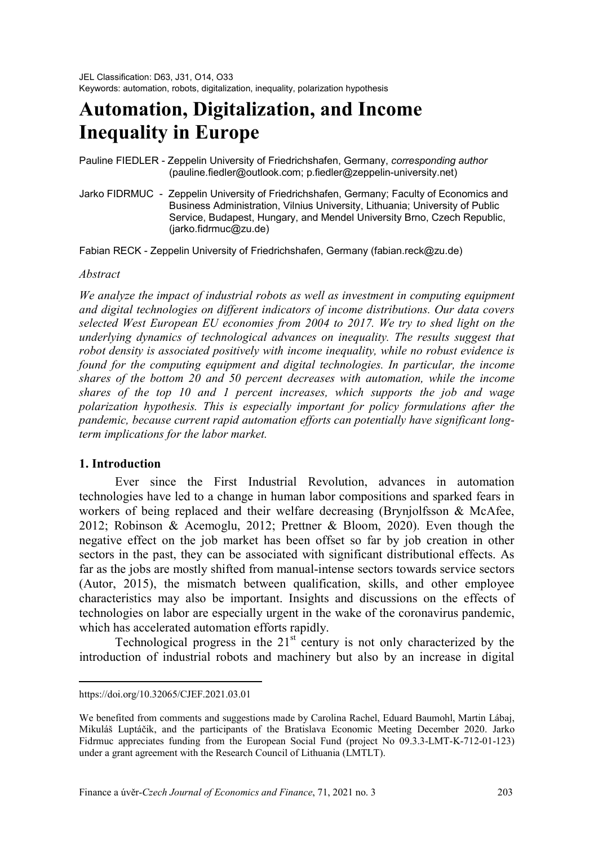# **Automation, Digitalization, and Income Inequality in Europe**

#### Pauline FIEDLER - Zeppelin University of Friedrichshafen, Germany, *corresponding author* (pauline.fiedler@outlook.com; p.fiedler@zeppelin-university.net)

Jarko FIDRMUC - Zeppelin University of Friedrichshafen, Germany; Faculty of Economics and Business Administration, Vilnius University, Lithuania; University of Public Service, Budapest, Hungary, and Mendel University Brno, Czech Republic, (jarko.fidrmuc@zu.de)

Fabian RECK - Zeppelin University of Friedrichshafen, Germany (fabian.reck@zu.de)

#### *Abstract[1](#page-0-0)*

*We analyze the impact of industrial robots as well as investment in computing equipment and digital technologies on different indicators of income distributions. Our data covers selected West European EU economies from 2004 to 2017. We try to shed light on the underlying dynamics of technological advances on inequality. The results suggest that robot density is associated positively with income inequality, while no robust evidence is found for the computing equipment and digital technologies. In particular, the income shares of the bottom 20 and 50 percent decreases with automation, while the income shares of the top 10 and 1 percent increases, which supports the job and wage polarization hypothesis. This is especially important for policy formulations after the pandemic, because current rapid automation efforts can potentially have significant longterm implications for the labor market.* 

#### **1. Introduction**

 $\overline{a}$ 

Ever since the First Industrial Revolution, advances in automation technologies have led to a change in human labor compositions and sparked fears in workers of being replaced and their welfare decreasing (Brynjolfsson & McAfee, 2012; Robinson & Acemoglu, 2012; Prettner & Bloom, 2020). Even though the negative effect on the job market has been offset so far by job creation in other sectors in the past, they can be associated with significant distributional effects. As far as the jobs are mostly shifted from manual-intense sectors towards service sectors (Autor, 2015), the mismatch between qualification, skills, and other employee characteristics may also be important. Insights and discussions on the effects of technologies on labor are especially urgent in the wake of the coronavirus pandemic, which has accelerated automation efforts rapidly.

Technological progress in the  $21<sup>st</sup>$  century is not only characterized by the introduction of industrial robots and machinery but also by an increase in digital

<span id="page-0-0"></span>https://doi.org/10.32065/CJEF.2021.03.01

We benefited from comments and suggestions made by Carolina Rachel, Eduard Baumohl, Martin Lábaj, Mikuláš Luptáčik, and the participants of the Bratislava Economic Meeting December 2020. Jarko Fidrmuc appreciates funding from the European Social Fund (project No 09.3.3-LMT-K-712-01-123) under a grant agreement with the Research Council of Lithuania (LMTLT).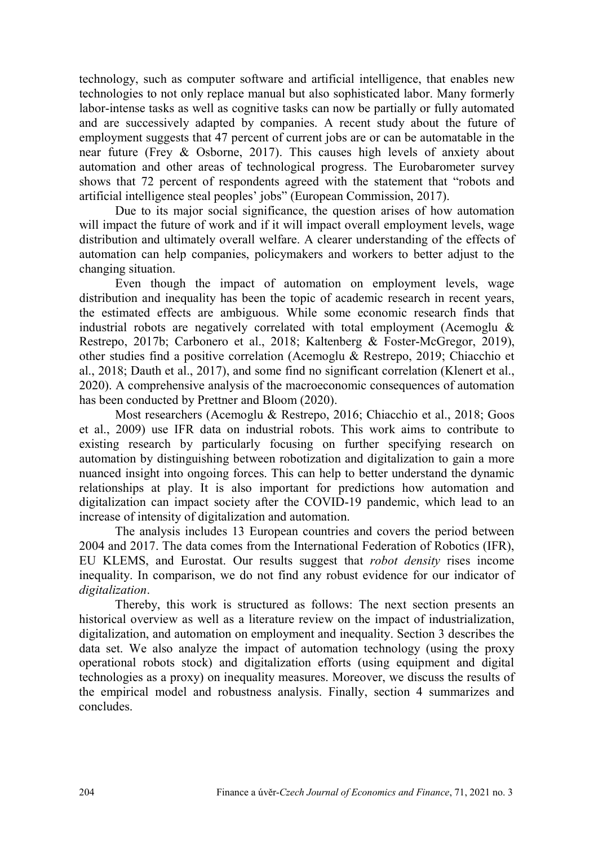technology, such as computer software and artificial intelligence, that enables new technologies to not only replace manual but also sophisticated labor. Many formerly labor-intense tasks as well as cognitive tasks can now be partially or fully automated and are successively adapted by companies. A recent study about the future of employment suggests that 47 percent of current jobs are or can be automatable in the near future (Frey & Osborne, 2017). This causes high levels of anxiety about automation and other areas of technological progress. The Eurobarometer survey shows that 72 percent of respondents agreed with the statement that "robots and artificial intelligence steal peoples' jobs" (European Commission, 2017).

Due to its major social significance, the question arises of how automation will impact the future of work and if it will impact overall employment levels, wage distribution and ultimately overall welfare. A clearer understanding of the effects of automation can help companies, policymakers and workers to better adjust to the changing situation.

Even though the impact of automation on employment levels, wage distribution and inequality has been the topic of academic research in recent years, the estimated effects are ambiguous. While some economic research finds that industrial robots are negatively correlated with total employment (Acemoglu & Restrepo, 2017b; Carbonero et al., 2018; Kaltenberg & Foster-McGregor, 2019), other studies find a positive correlation (Acemoglu & Restrepo, 2019; Chiacchio et al., 2018; Dauth et al., 2017), and some find no significant correlation (Klenert et al., 2020). A comprehensive analysis of the macroeconomic consequences of automation has been conducted by Prettner and Bloom (2020).

Most researchers (Acemoglu & Restrepo, 2016; Chiacchio et al., 2018; Goos et al., 2009) use IFR data on industrial robots. This work aims to contribute to existing research by particularly focusing on further specifying research on automation by distinguishing between robotization and digitalization to gain a more nuanced insight into ongoing forces. This can help to better understand the dynamic relationships at play. It is also important for predictions how automation and digitalization can impact society after the COVID-19 pandemic, which lead to an increase of intensity of digitalization and automation.

The analysis includes 13 European countries and covers the period between 2004 and 2017. The data comes from the International Federation of Robotics (IFR), EU KLEMS, and Eurostat. Our results suggest that *robot density* rises income inequality. In comparison, we do not find any robust evidence for our indicator of *digitalization*.

Thereby, this work is structured as follows: The next section presents an historical overview as well as a literature review on the impact of industrialization, digitalization, and automation on employment and inequality. Section 3 describes the data set. We also analyze the impact of automation technology (using the proxy operational robots stock) and digitalization efforts (using equipment and digital technologies as a proxy) on inequality measures. Moreover, we discuss the results of the empirical model and robustness analysis. Finally, section 4 summarizes and concludes.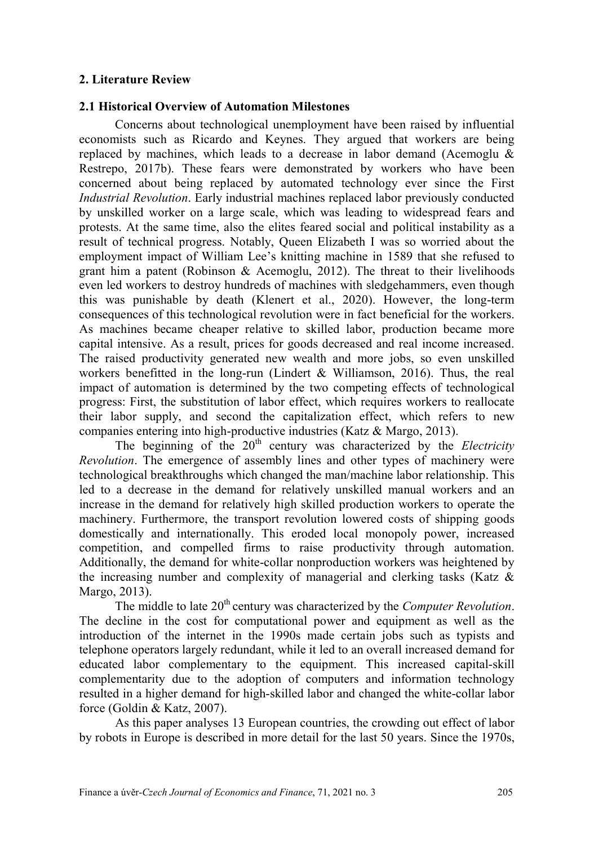## **2. Literature Review**

## **2.1 Historical Overview of Automation Milestones**

Concerns about technological unemployment have been raised by influential economists such as Ricardo and Keynes. They argued that workers are being replaced by machines, which leads to a decrease in labor demand (Acemoglu & Restrepo, 2017b). These fears were demonstrated by workers who have been concerned about being replaced by automated technology ever since the First *Industrial Revolution*. Early industrial machines replaced labor previously conducted by unskilled worker on a large scale, which was leading to widespread fears and protests. At the same time, also the elites feared social and political instability as a result of technical progress. Notably, Queen Elizabeth I was so worried about the employment impact of William Lee's knitting machine in 1589 that she refused to grant him a patent (Robinson & Acemoglu, 2012). The threat to their livelihoods even led workers to destroy hundreds of machines with sledgehammers, even though this was punishable by death (Klenert et al., 2020). However, the long-term consequences of this technological revolution were in fact beneficial for the workers. As machines became cheaper relative to skilled labor, production became more capital intensive. As a result, prices for goods decreased and real income increased. The raised productivity generated new wealth and more jobs, so even unskilled workers benefitted in the long-run (Lindert & Williamson, 2016). Thus, the real impact of automation is determined by the two competing effects of technological progress: First, the substitution of labor effect, which requires workers to reallocate their labor supply, and second the capitalization effect, which refers to new companies entering into high-productive industries (Katz & Margo, 2013).

The beginning of the 20<sup>th</sup> century was characterized by the *Electricity Revolution*. The emergence of assembly lines and other types of machinery were technological breakthroughs which changed the man/machine labor relationship. This led to a decrease in the demand for relatively unskilled manual workers and an increase in the demand for relatively high skilled production workers to operate the machinery. Furthermore, the transport revolution lowered costs of shipping goods domestically and internationally. This eroded local monopoly power, increased competition, and compelled firms to raise productivity through automation. Additionally, the demand for white-collar nonproduction workers was heightened by the increasing number and complexity of managerial and clerking tasks (Katz & Margo, 2013).

The middle to late 20<sup>th</sup> century was characterized by the *Computer Revolution*. The decline in the cost for computational power and equipment as well as the introduction of the internet in the 1990s made certain jobs such as typists and telephone operators largely redundant, while it led to an overall increased demand for educated labor complementary to the equipment. This increased capital-skill complementarity due to the adoption of computers and information technology resulted in a higher demand for high-skilled labor and changed the white-collar labor force (Goldin & Katz, 2007).

As this paper analyses 13 European countries, the crowding out effect of labor by robots in Europe is described in more detail for the last 50 years. Since the 1970s,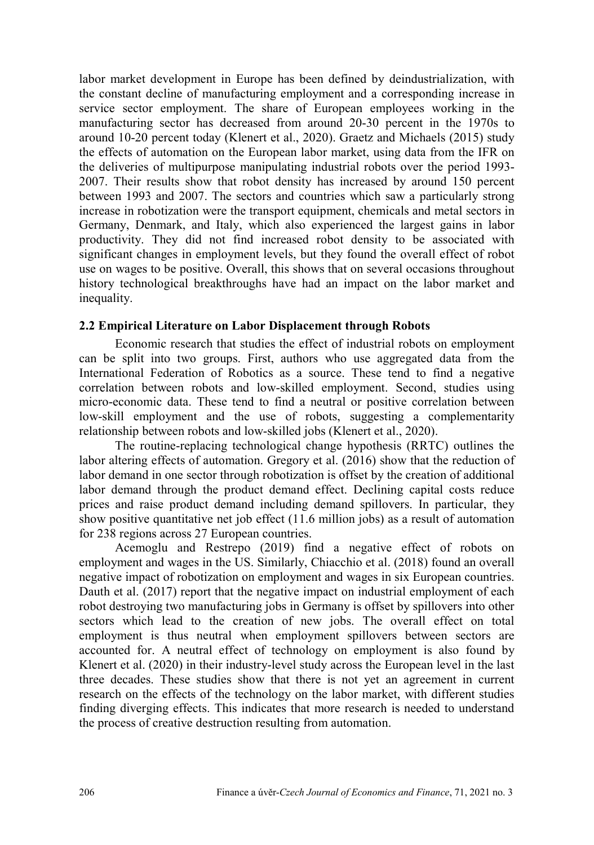labor market development in Europe has been defined by deindustrialization, with the constant decline of manufacturing employment and a corresponding increase in service sector employment. The share of European employees working in the manufacturing sector has decreased from around 20-30 percent in the 1970s to around 10-20 percent today (Klenert et al., 2020). Graetz and Michaels (2015) study the effects of automation on the European labor market, using data from the IFR on the deliveries of multipurpose manipulating industrial robots over the period 1993- 2007. Their results show that robot density has increased by around 150 percent between 1993 and 2007. The sectors and countries which saw a particularly strong increase in robotization were the transport equipment, chemicals and metal sectors in Germany, Denmark, and Italy, which also experienced the largest gains in labor productivity. They did not find increased robot density to be associated with significant changes in employment levels, but they found the overall effect of robot use on wages to be positive. Overall, this shows that on several occasions throughout history technological breakthroughs have had an impact on the labor market and inequality.

## **2.2 Empirical Literature on Labor Displacement through Robots**

Economic research that studies the effect of industrial robots on employment can be split into two groups. First, authors who use aggregated data from the International Federation of Robotics as a source. These tend to find a negative correlation between robots and low-skilled employment. Second, studies using micro-economic data. These tend to find a neutral or positive correlation between low-skill employment and the use of robots, suggesting a complementarity relationship between robots and low-skilled jobs (Klenert et al., 2020).

The routine-replacing technological change hypothesis (RRTC) outlines the labor altering effects of automation. Gregory et al. (2016) show that the reduction of labor demand in one sector through robotization is offset by the creation of additional labor demand through the product demand effect. Declining capital costs reduce prices and raise product demand including demand spillovers. In particular, they show positive quantitative net job effect (11.6 million jobs) as a result of automation for 238 regions across 27 European countries.

Acemoglu and Restrepo (2019) find a negative effect of robots on employment and wages in the US. Similarly, Chiacchio et al. (2018) found an overall negative impact of robotization on employment and wages in six European countries. Dauth et al. (2017) report that the negative impact on industrial employment of each robot destroying two manufacturing jobs in Germany is offset by spillovers into other sectors which lead to the creation of new jobs. The overall effect on total employment is thus neutral when employment spillovers between sectors are accounted for. A neutral effect of technology on employment is also found by Klenert et al. (2020) in their industry-level study across the European level in the last three decades. These studies show that there is not yet an agreement in current research on the effects of the technology on the labor market, with different studies finding diverging effects. This indicates that more research is needed to understand the process of creative destruction resulting from automation.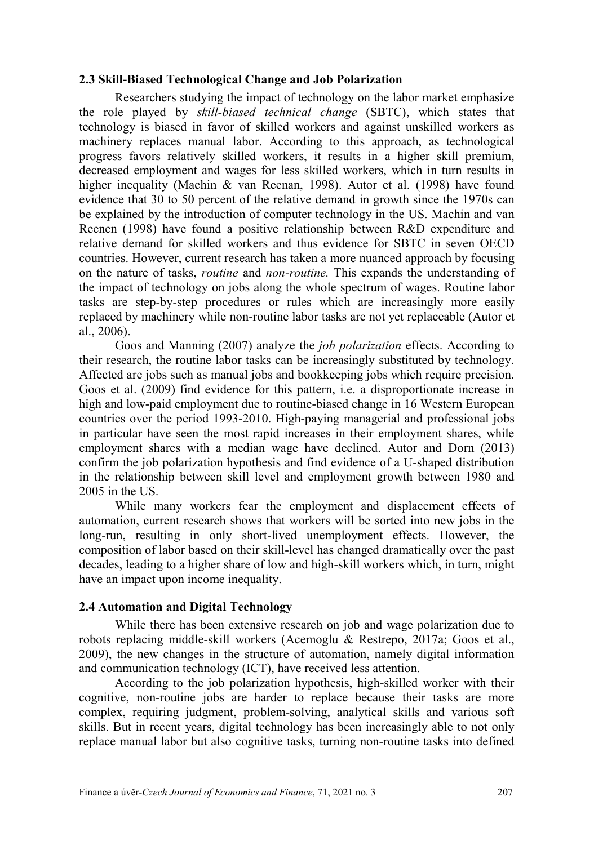#### **2.3 Skill-Biased Technological Change and Job Polarization**

Researchers studying the impact of technology on the labor market emphasize the role played by *skill-biased technical change* (SBTC), which states that technology is biased in favor of skilled workers and against unskilled workers as machinery replaces manual labor. According to this approach, as technological progress favors relatively skilled workers, it results in a higher skill premium, decreased employment and wages for less skilled workers, which in turn results in higher inequality (Machin & van Reenan, 1998). Autor et al. (1998) have found evidence that 30 to 50 percent of the relative demand in growth since the 1970s can be explained by the introduction of computer technology in the US. Machin and van Reenen (1998) have found a positive relationship between R&D expenditure and relative demand for skilled workers and thus evidence for SBTC in seven OECD countries. However, current research has taken a more nuanced approach by focusing on the nature of tasks, *routine* and *non-routine.* This expands the understanding of the impact of technology on jobs along the whole spectrum of wages. Routine labor tasks are step-by-step procedures or rules which are increasingly more easily replaced by machinery while non-routine labor tasks are not yet replaceable (Autor et al., 2006).

Goos and Manning (2007) analyze the *job polarization* effects. According to their research, the routine labor tasks can be increasingly substituted by technology. Affected are jobs such as manual jobs and bookkeeping jobs which require precision. Goos et al. (2009) find evidence for this pattern, i.e. a disproportionate increase in high and low-paid employment due to routine-biased change in 16 Western European countries over the period 1993-2010. High-paying managerial and professional jobs in particular have seen the most rapid increases in their employment shares, while employment shares with a median wage have declined. Autor and Dorn (2013) confirm the job polarization hypothesis and find evidence of a U-shaped distribution in the relationship between skill level and employment growth between 1980 and 2005 in the US.

While many workers fear the employment and displacement effects of automation, current research shows that workers will be sorted into new jobs in the long-run, resulting in only short-lived unemployment effects. However, the composition of labor based on their skill-level has changed dramatically over the past decades, leading to a higher share of low and high-skill workers which, in turn, might have an impact upon income inequality.

#### **2.4 Automation and Digital Technology**

While there has been extensive research on job and wage polarization due to robots replacing middle-skill workers (Acemoglu & Restrepo, 2017a; Goos et al., 2009), the new changes in the structure of automation, namely digital information and communication technology (ICT), have received less attention.

According to the job polarization hypothesis, high-skilled worker with their cognitive, non-routine jobs are harder to replace because their tasks are more complex, requiring judgment, problem-solving, analytical skills and various soft skills. But in recent years, digital technology has been increasingly able to not only replace manual labor but also cognitive tasks, turning non-routine tasks into defined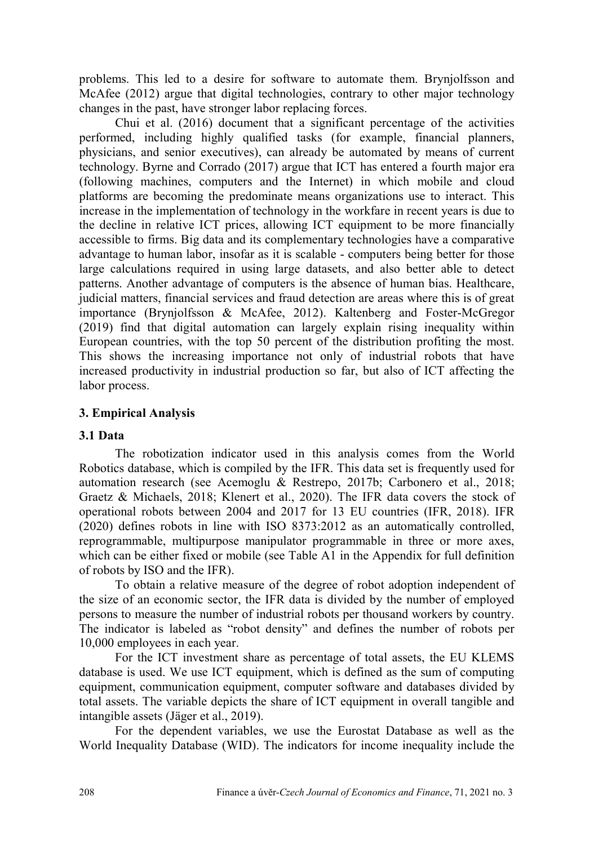problems. This led to a desire for software to automate them. Brynjolfsson and McAfee (2012) argue that digital technologies, contrary to other major technology changes in the past, have stronger labor replacing forces.

Chui et al. (2016) document that a significant percentage of the activities performed, including highly qualified tasks (for example, financial planners, physicians, and senior executives), can already be automated by means of current technology. Byrne and Corrado (2017) argue that ICT has entered a fourth major era (following machines, computers and the Internet) in which mobile and cloud platforms are becoming the predominate means organizations use to interact. This increase in the implementation of technology in the workfare in recent years is due to the decline in relative ICT prices, allowing ICT equipment to be more financially accessible to firms. Big data and its complementary technologies have a comparative advantage to human labor, insofar as it is scalable - computers being better for those large calculations required in using large datasets, and also better able to detect patterns. Another advantage of computers is the absence of human bias. Healthcare, judicial matters, financial services and fraud detection are areas where this is of great importance (Brynjolfsson & McAfee, 2012). Kaltenberg and Foster-McGregor (2019) find that digital automation can largely explain rising inequality within European countries, with the top 50 percent of the distribution profiting the most. This shows the increasing importance not only of industrial robots that have increased productivity in industrial production so far, but also of ICT affecting the labor process.

## **3. Empirical Analysis**

#### **3.1 Data**

The robotization indicator used in this analysis comes from the World Robotics database, which is compiled by the IFR. This data set is frequently used for automation research (see Acemoglu & Restrepo, 2017b; Carbonero et al., 2018; Graetz & Michaels, 2018; Klenert et al., 2020). The IFR data covers the stock of operational robots between 2004 and 2017 for 13 EU countries (IFR, 2018). IFR (2020) defines robots in line with ISO 8373:2012 as an automatically controlled, reprogrammable, multipurpose manipulator programmable in three or more axes, which can be either fixed or mobile (see Table A1 in the Appendix for full definition of robots by ISO and the IFR).

To obtain a relative measure of the degree of robot adoption independent of the size of an economic sector, the IFR data is divided by the number of employed persons to measure the number of industrial robots per thousand workers by country. The indicator is labeled as "robot density" and defines the number of robots per 10,000 employees in each year.

For the ICT investment share as percentage of total assets, the EU KLEMS database is used. We use ICT equipment, which is defined as the sum of computing equipment, communication equipment, computer software and databases divided by total assets. The variable depicts the share of ICT equipment in overall tangible and intangible assets (Jäger et al., 2019).

For the dependent variables, we use the Eurostat Database as well as the World Inequality Database (WID). The indicators for income inequality include the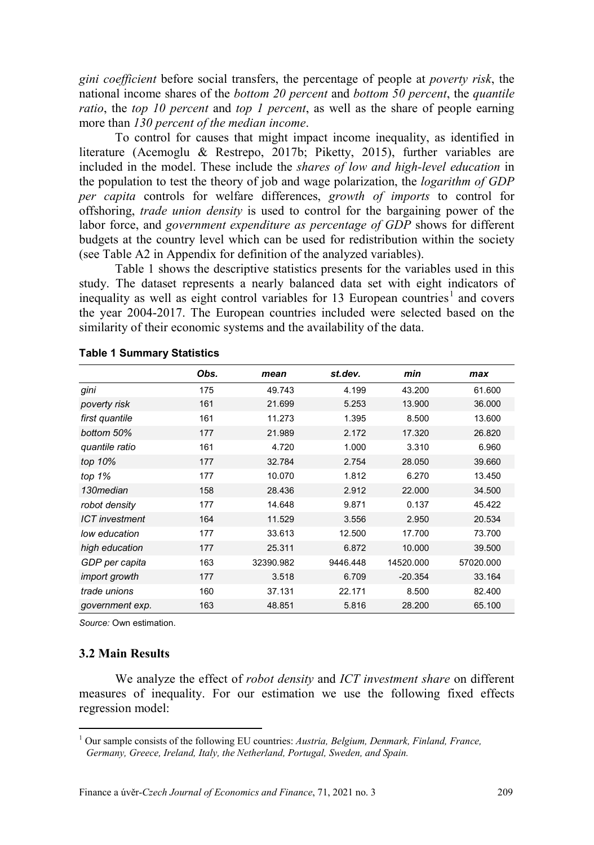*gini coefficient* before social transfers, the percentage of people at *poverty risk*, the national income shares of the *bottom 20 percent* and *bottom 50 percent*, the *quantile ratio*, the *top 10 percent* and *top 1 percent*, as well as the share of people earning more than *130 percent of the median income*.

To control for causes that might impact income inequality, as identified in literature (Acemoglu & Restrepo, 2017b; Piketty, 2015), further variables are included in the model. These include the *shares of low and high-level education* in the population to test the theory of job and wage polarization, the *logarithm of GDP per capita* controls for welfare differences, *growth of imports* to control for offshoring, *trade union density* is used to control for the bargaining power of the labor force, and *government expenditure as percentage of GDP* shows for different budgets at the country level which can be used for redistribution within the society (see Table A2 in Appendix for definition of the analyzed variables).

Table 1 shows the descriptive statistics presents for the variables used in this study. The dataset represents a nearly balanced data set with eight indicators of inequality as well as eight control variables for [1](#page-6-0)3 European countries<sup>1</sup> and covers the year 2004-2017. The European countries included were selected based on the similarity of their economic systems and the availability of the data.

|                       | Obs. | mean      | st.dev.  | min       | max       |
|-----------------------|------|-----------|----------|-----------|-----------|
| gini                  | 175  | 49.743    | 4.199    | 43.200    | 61.600    |
| poverty risk          | 161  | 21.699    | 5.253    | 13.900    | 36,000    |
| first quantile        | 161  | 11.273    | 1.395    | 8.500     | 13.600    |
| bottom 50%            | 177  | 21.989    | 2.172    | 17.320    | 26.820    |
| quantile ratio        | 161  | 4.720     | 1.000    | 3.310     | 6.960     |
| top 10%               | 177  | 32.784    | 2.754    | 28.050    | 39.660    |
| top $1%$              | 177  | 10.070    | 1.812    | 6.270     | 13.450    |
| 130median             | 158  | 28.436    | 2.912    | 22,000    | 34.500    |
| robot density         | 177  | 14.648    | 9.871    | 0.137     | 45.422    |
| <b>ICT</b> investment | 164  | 11.529    | 3.556    | 2.950     | 20.534    |
| low education         | 177  | 33.613    | 12.500   | 17.700    | 73.700    |
| high education        | 177  | 25.311    | 6.872    | 10.000    | 39.500    |
| GDP per capita        | 163  | 32390.982 | 9446.448 | 14520.000 | 57020.000 |
| import growth         | 177  | 3.518     | 6.709    | $-20.354$ | 33.164    |
| trade unions          | 160  | 37.131    | 22.171   | 8.500     | 82.400    |
| government exp.       | 163  | 48.851    | 5.816    | 28.200    | 65.100    |

|  |  | <b>Table 1 Summary Statistics</b> |  |
|--|--|-----------------------------------|--|
|--|--|-----------------------------------|--|

*Source:* Own estimation.

#### **3.2 Main Results**

 $\overline{a}$ 

We analyze the effect of *robot density* and *ICT investment share* on different measures of inequality. For our estimation we use the following fixed effects regression model:

<span id="page-6-0"></span><sup>1</sup> Our sample consists of the following EU countries: *Austria, Belgium, Denmark, Finland, France, Germany, Greece, Ireland, Italy, the Netherland, Portugal, Sweden, and Spain.*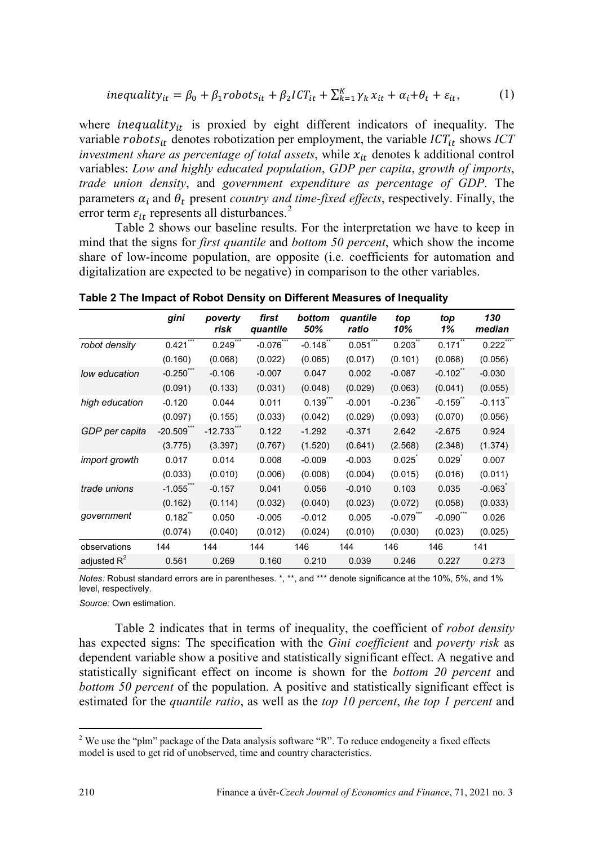$$
inequality_{it} = \beta_0 + \beta_1 \text{robots}_{it} + \beta_2 \text{ICT}_{it} + \sum_{k=1}^{K} \gamma_k x_{it} + \alpha_i + \theta_t + \varepsilon_{it},\tag{1}
$$

where *inequality*<sub>it</sub> is proxied by eight different indicators of inequality. The variable *robots*<sub>it</sub> denotes robotization per employment, the variable  $ICT_{it}$  shows  $ICT$ *investment share as percentage of total assets*, while  $x_{it}$  denotes k additional control variables: *Low and highly educated population*, *GDP per capita*, *growth of imports*, *trade union density*, and *government expenditure as percentage of GDP*. The parameters  $\alpha_i$  and  $\theta_t$  present *country and time-fixed effects*, respectively. Finally, the error term  $\varepsilon_{it}$  represents all disturbances.<sup>[2](#page-7-0)</sup>

Table 2 shows our baseline results. For the interpretation we have to keep in mind that the signs for *first quantile* and *bottom 50 percent*, which show the income share of low-income population, are opposite (i.e. coefficients for automation and digitalization are expected to be negative) in comparison to the other variables.

|                | gini                  | poverty<br>risk | first<br>quantile | bottom<br>50%          | quantile<br>ratio | top<br>10%         | top<br>1%             | 130<br>median |
|----------------|-----------------------|-----------------|-------------------|------------------------|-------------------|--------------------|-----------------------|---------------|
| robot density  | ***<br>0.421          | ***<br>0.249    | $-0.076$          | $-0.148$               | ***<br>0.051      | 0.203              | 0.171                 | 0.222         |
|                | (0.160)               | (0.068)         | (0.022)           | (0.065)                | (0.017)           | (0.101)            | (0.068)               | (0.056)       |
| low education  | $-0.250$ ***          | $-0.106$        | $-0.007$          | 0.047                  | 0.002             | $-0.087$           | $-0.102$              | $-0.030$      |
|                | (0.091)               | (0.133)         | (0.031)           | (0.048)                | (0.029)           | (0.063)            | (0.041)               | (0.055)       |
| high education | $-0.120$              | 0.044           | 0.011             | $0.139$ <sup>***</sup> | $-0.001$          | $-0.236$           | $-0.159$ <sup>2</sup> | $-0.113$      |
|                | (0.097)               | (0.155)         | (0.033)           | (0.042)                | (0.029)           | (0.093)            | (0.070)               | (0.056)       |
| GDP per capita | $-20.509$ ***         | $-12.733$ **    | 0.122             | $-1.292$               | $-0.371$          | 2.642              | $-2.675$              | 0.924         |
|                | (3.775)               | (3.397)         | (0.767)           | (1.520)                | (0.641)           | (2.568)            | (2.348)               | (1.374)       |
| import growth  | 0.017                 | 0.014           | 0.008             | $-0.009$               | $-0.003$          | 0.025              | 0.029                 | 0.007         |
|                | (0.033)               | (0.010)         | (0.006)           | (0.008)                | (0.004)           | (0.015)            | (0.016)               | (0.011)       |
| trade unions   | $-1.055$              | $-0.157$        | 0.041             | 0.056                  | $-0.010$          | 0.103              | 0.035                 | $-0.063$      |
|                | (0.162)               | (0.114)         | (0.032)           | (0.040)                | (0.023)           | (0.072)            | (0.058)               | (0.033)       |
| qovernment     | $0.182$ <sup>**</sup> | 0.050           | $-0.005$          | $-0.012$               | 0.005             | $-0.079$ $\degree$ | $-0.090$ <sup>*</sup> | 0.026         |
|                | (0.074)               | (0.040)         | (0.012)           | (0.024)                | (0.010)           | (0.030)            | (0.023)               | (0.025)       |
| observations   | 144                   | 144             | 144               | 146                    | 144               | 146                | 146                   | 141           |
| adjusted $R^2$ | 0.561                 | 0.269           | 0.160             | 0.210                  | 0.039             | 0.246              | 0.227                 | 0.273         |

**Table 2 The Impact of Robot Density on Different Measures of Inequality**

*Notes:* Robust standard errors are in parentheses. \*, \*\*, and \*\*\* denote significance at the 10%, 5%, and 1% level, respectively.

*Source:* Own estimation.

Table 2 indicates that in terms of inequality, the coefficient of *robot density* has expected signs: The specification with the *Gini coefficient* and *poverty risk* as dependent variable show a positive and statistically significant effect. A negative and statistically significant effect on income is shown for the *bottom 20 percent* and *bottom 50 percent* of the population. A positive and statistically significant effect is estimated for the *quantile ratio*, as well as the *top 10 percent*, *the top 1 percent* and

 $\overline{a}$ 

<span id="page-7-0"></span><sup>&</sup>lt;sup>2</sup> We use the "plm" package of the Data analysis software "R". To reduce endogeneity a fixed effects model is used to get rid of unobserved, time and country characteristics.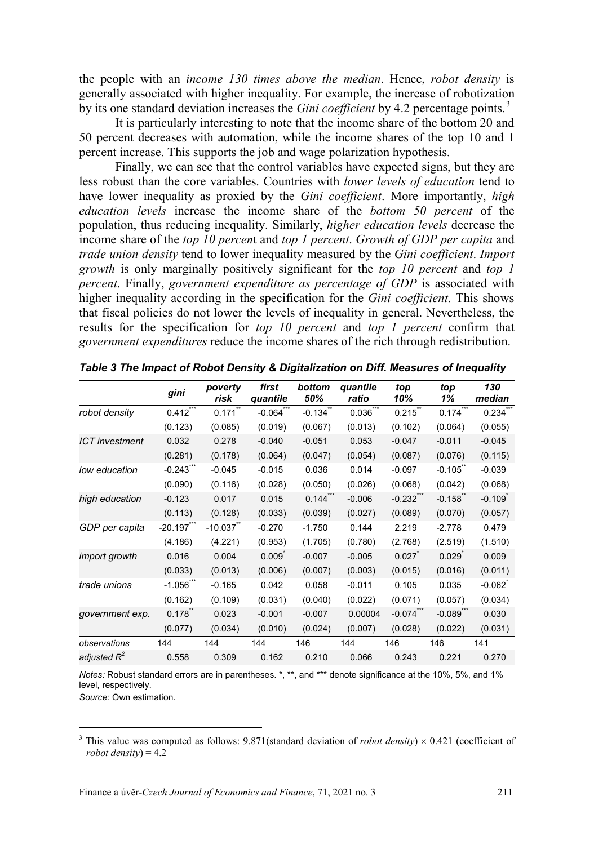the people with an *income 130 times above the median*. Hence, *robot density* is generally associated with higher inequality. For example, the increase of robotization by its one standard deviation increases the *Gini coefficient* by 4.2 percentage points.<sup>[3](#page-8-0)</sup>

It is particularly interesting to note that the income share of the bottom 20 and 50 percent decreases with automation, while the income shares of the top 10 and 1 percent increase. This supports the job and wage polarization hypothesis.

Finally, we can see that the control variables have expected signs, but they are less robust than the core variables. Countries with *lower levels of education* tend to have lower inequality as proxied by the *Gini coefficient*. More importantly, *high education levels* increase the income share of the *bottom 50 percent* of the population, thus reducing inequality. Similarly, *higher education levels* decrease the income share of the *top 10 percen*t and *top 1 percent*. *Growth of GDP per capita* and *trade union density* tend to lower inequality measured by the *Gini coefficient*. *Import growth* is only marginally positively significant for the *top 10 percent* and *top 1 percent*. Finally, *government expenditure as percentage of GDP* is associated with higher inequality according in the specification for the *Gini coefficient*. This shows that fiscal policies do not lower the levels of inequality in general. Nevertheless, the results for the specification for *top 10 percent* and *top 1 percent* confirm that *government expenditures* reduce the income shares of the rich through redistribution.

|                       | gini      | poverty<br>risk | first<br>quantile | bottom<br>50% | quantile<br>ratio | top<br>10%              | top<br>1%    | 130<br>median |
|-----------------------|-----------|-----------------|-------------------|---------------|-------------------|-------------------------|--------------|---------------|
| robot density         | 0.412     | 0.171           | $-0.064$          | $-0.134$      | 0.036             | $0.215$ **              | 0.174        | 0.234         |
|                       | (0.123)   | (0.085)         | (0.019)           | (0.067)       | (0.013)           | (0.102)                 | (0.064)      | (0.055)       |
| <b>ICT</b> investment | 0.032     | 0.278           | $-0.040$          | $-0.051$      | 0.053             | $-0.047$                | $-0.011$     | $-0.045$      |
|                       | (0.281)   | (0.178)         | (0.064)           | (0.047)       | (0.054)           | (0.087)                 | (0.076)      | (0.115)       |
| low education         | $-0.243$  | $-0.045$        | $-0.015$          | 0.036         | 0.014             | $-0.097$                | $-0.105$     | $-0.039$      |
|                       | (0.090)   | (0.116)         | (0.028)           | (0.050)       | (0.026)           | (0.068)                 | (0.042)      | (0.068)       |
| high education        | $-0.123$  | 0.017           | 0.015             | $0.144$ ***   | $-0.006$          | $-0.232$ ***            | $-0.158$ **  | $-0.109$      |
|                       | (0.113)   | (0.128)         | (0.033)           | (0.039)       | (0.027)           | (0.089)                 | (0.070)      | (0.057)       |
| GDP per capita        | $-20.197$ | $-10.037$       | $-0.270$          | $-1.750$      | 0.144             | 2.219                   | $-2.778$     | 0.479         |
|                       | (4.186)   | (4.221)         | (0.953)           | (1.705)       | (0.780)           | (2.768)                 | (2.519)      | (1.510)       |
| import growth         | 0.016     | 0.004           | 0.009             | $-0.007$      | $-0.005$          | 0.027                   | 0.029        | 0.009         |
|                       | (0.033)   | (0.013)         | (0.006)           | (0.007)       | (0.003)           | (0.015)                 | (0.016)      | (0.011)       |
| trade unions          | $-1.056$  | $-0.165$        | 0.042             | 0.058         | $-0.011$          | 0.105                   | 0.035        | $-0.062$      |
|                       | (0.162)   | (0.109)         | (0.031)           | (0.040)       | (0.022)           | (0.071)                 | (0.057)      | (0.034)       |
| government exp.       | 0.178     | 0.023           | $-0.001$          | $-0.007$      | 0.00004           | $-0.074$ <sup>***</sup> | $-0.089$ *** | 0.030         |
|                       | (0.077)   | (0.034)         | (0.010)           | (0.024)       | (0.007)           | (0.028)                 | (0.022)      | (0.031)       |
| observations          | 144       | 144             | 144               | 146           | 144               | 146                     | 146          | 141           |
| adjusted $R^2$        | 0.558     | 0.309           | 0.162             | 0.210         | 0.066             | 0.243                   | 0.221        | 0.270         |

*Table 3 The Impact of Robot Density & Digitalization on Diff. Measures of Inequality*

*Notes:* Robust standard errors are in parentheses. \*, \*\*, and \*\*\* denote significance at the 10%, 5%, and 1% level, respectively.

*Source:* Own estimation.

 $\overline{a}$ 

<span id="page-8-0"></span><sup>&</sup>lt;sup>3</sup> This value was computed as follows: 9.871(standard deviation of *robot density*)  $\times$  0.421 (coefficient of *robot density*) = 4.2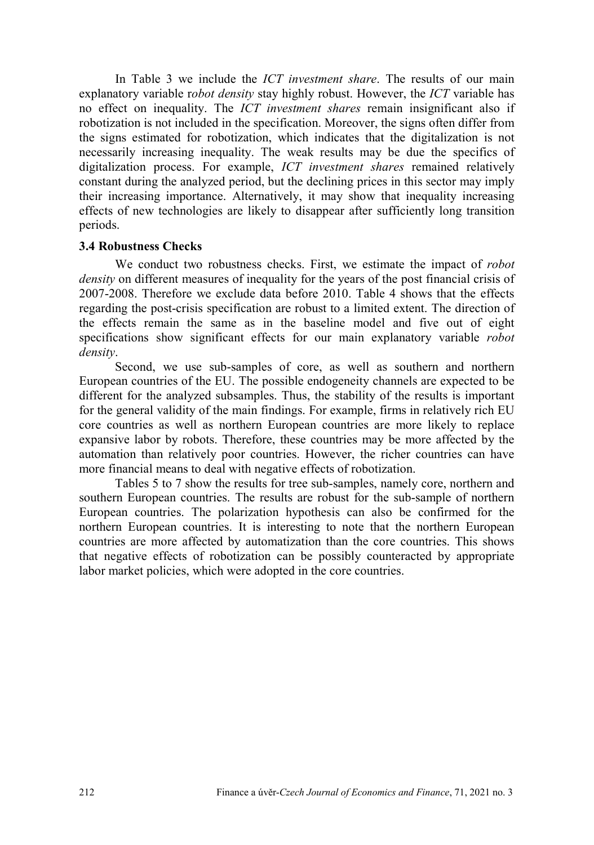In Table 3 we include the *ICT investment share*. The results of our main explanatory variable r*obot density* stay highly robust. However, the *ICT* variable has no effect on inequality. The *ICT investment shares* remain insignificant also if robotization is not included in the specification. Moreover, the signs often differ from the signs estimated for robotization, which indicates that the digitalization is not necessarily increasing inequality. The weak results may be due the specifics of digitalization process. For example, *ICT investment shares* remained relatively constant during the analyzed period, but the declining prices in this sector may imply their increasing importance. Alternatively, it may show that inequality increasing effects of new technologies are likely to disappear after sufficiently long transition periods.

#### **3.4 Robustness Checks**

We conduct two robustness checks. First, we estimate the impact of *robot density* on different measures of inequality for the years of the post financial crisis of 2007-2008. Therefore we exclude data before 2010. Table 4 shows that the effects regarding the post-crisis specification are robust to a limited extent. The direction of the effects remain the same as in the baseline model and five out of eight specifications show significant effects for our main explanatory variable *robot density*.

Second, we use sub-samples of core, as well as southern and northern European countries of the EU. The possible endogeneity channels are expected to be different for the analyzed subsamples. Thus, the stability of the results is important for the general validity of the main findings. For example, firms in relatively rich EU core countries as well as northern European countries are more likely to replace expansive labor by robots. Therefore, these countries may be more affected by the automation than relatively poor countries. However, the richer countries can have more financial means to deal with negative effects of robotization.

Tables 5 to 7 show the results for tree sub-samples, namely core, northern and southern European countries. The results are robust for the sub-sample of northern European countries. The polarization hypothesis can also be confirmed for the northern European countries. It is interesting to note that the northern European countries are more affected by automatization than the core countries. This shows that negative effects of robotization can be possibly counteracted by appropriate labor market policies, which were adopted in the core countries.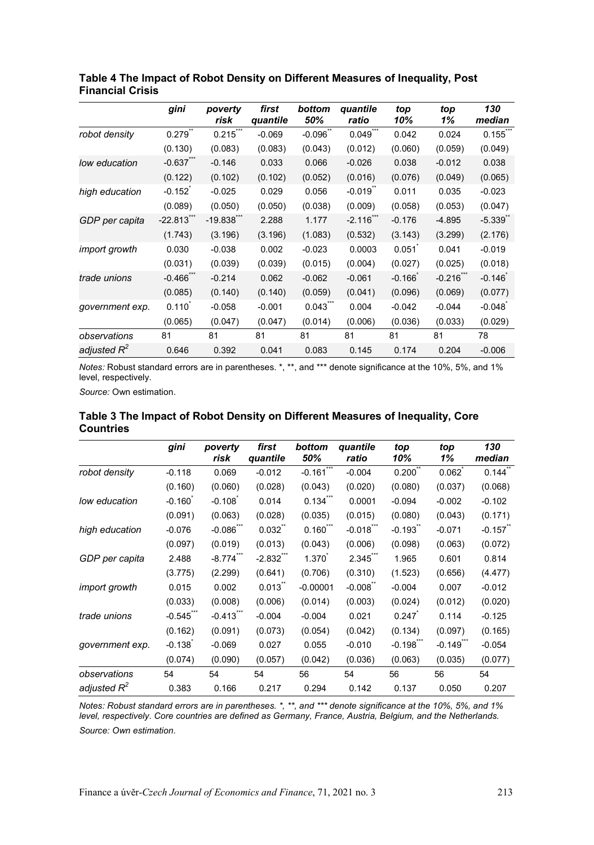|                 | gini                   | poverty<br>risk          | first<br>quantile | bottom<br>50%          | quantile<br>ratio | top<br>10% | top<br>1%    | 130<br>median |
|-----------------|------------------------|--------------------------|-------------------|------------------------|-------------------|------------|--------------|---------------|
| robot density   | 0.279                  | $0.215$ ***              | $-0.069$          | $-0.096$ **            | 0.049             | 0.042      | 0.024        | 0.155         |
|                 | (0.130)                | (0.083)                  | (0.083)           | (0.043)                | (0.012)           | (0.060)    | (0.059)      | (0.049)       |
| low education   | $-0.637$ ***           | $-0.146$                 | 0.033             | 0.066                  | $-0.026$          | 0.038      | $-0.012$     | 0.038         |
|                 | (0.122)                | (0.102)                  | (0.102)           | (0.052)                | (0.016)           | (0.076)    | (0.049)      | (0.065)       |
| high education  | $-0.152$               | $-0.025$                 | 0.029             | 0.056                  | $-0.019$          | 0.011      | 0.035        | $-0.023$      |
|                 | (0.089)                | (0.050)                  | (0.050)           | (0.038)                | (0.009)           | (0.058)    | (0.053)      | (0.047)       |
| GDP per capita  | $-22.813$ ***          | $-19.838$ <sup>***</sup> | 2.288             | 1.177                  | $-2.116$ ***      | $-0.176$   | $-4.895$     | $-5.339$      |
|                 | (1.743)                | (3.196)                  | (3.196)           | (1.083)                | (0.532)           | (3.143)    | (3.299)      | (2.176)       |
| import growth   | 0.030                  | $-0.038$                 | 0.002             | $-0.023$               | 0.0003            | 0.051      | 0.041        | $-0.019$      |
|                 | (0.031)                | (0.039)                  | (0.039)           | (0.015)                | (0.004)           | (0.027)    | (0.025)      | (0.018)       |
| trade unions    | $-0.466$ <sup>22</sup> | $-0.214$                 | 0.062             | $-0.062$               | $-0.061$          | $-0.166$   | $-0.216$ *** | $-0.146$      |
|                 | (0.085)                | (0.140)                  | (0.140)           | (0.059)                | (0.041)           | (0.096)    | (0.069)      | (0.077)       |
| government exp. | $0.110^{7}$            | $-0.058$                 | $-0.001$          | $0.043$ <sup>***</sup> | 0.004             | $-0.042$   | $-0.044$     | $-0.048$      |
|                 | (0.065)                | (0.047)                  | (0.047)           | (0.014)                | (0.006)           | (0.036)    | (0.033)      | (0.029)       |
| observations    | 81                     | 81                       | 81                | 81                     | 81                | 81         | 81           | 78            |
| adiusted $R^2$  | 0.646                  | 0.392                    | 0.041             | 0.083                  | 0.145             | 0.174      | 0.204        | $-0.006$      |

#### **Table 4 The Impact of Robot Density on Different Measures of Inequality, Post Financial Crisis**

*Notes:* Robust standard errors are in parentheses. \*, \*\*, and \*\*\* denote significance at the 10%, 5%, and 1% level, respectively.

*Source:* Own estimation.

|                 | gini     | poverty<br>risk        | first<br>quantile | bottom<br>50%   | quantile<br>ratio | top<br>10% | top<br>1%              | 130<br>median |
|-----------------|----------|------------------------|-------------------|-----------------|-------------------|------------|------------------------|---------------|
| robot density   | $-0.118$ | 0.069                  | $-0.012$          | ***<br>$-0.161$ | $-0.004$          | 0.200      | 0.062                  | 0.144         |
|                 | (0.160)  | (0.060)                | (0.028)           | (0.043)         | (0.020)           | (0.080)    | (0.037)                | (0.068)       |
| low education   | $-0.160$ | $-0.108$               | 0.014             | $0.134$ ***     | 0.0001            | $-0.094$   | $-0.002$               | $-0.102$      |
|                 | (0.091)  | (0.063)                | (0.028)           | (0.035)         | (0.015)           | (0.080)    | (0.043)                | (0.171)       |
| high education  | $-0.076$ | $-0.086$ ***           | $0.032$ "         | $0.160$ ***     | $-0.018$ ***      | $-0.193$   | $-0.071$               | $-0.157$      |
|                 | (0.097)  | (0.019)                | (0.013)           | (0.043)         | (0.006)           | (0.098)    | (0.063)                | (0.072)       |
| GDP per capita  | 2.488    | $-8.774$ ***           | $-2.832$ ***      | 1.370           | 2.345**           | 1.965      | 0.601                  | 0.814         |
|                 | (3.775)  | (2.299)                | (0.641)           | (0.706)         | (0.310)           | (1.523)    | (0.656)                | (4.477)       |
| import growth   | 0.015    | 0.002                  | 0.013             | $-0.00001$      | $-0.008^\degree$  | $-0.004$   | 0.007                  | $-0.012$      |
|                 | (0.033)  | (0.008)                | (0.006)           | (0.014)         | (0.003)           | (0.024)    | (0.012)                | (0.020)       |
| trade unions    | $-0.545$ | $-0.413$ <sup>**</sup> | $-0.004$          | $-0.004$        | 0.021             | 0.247      | 0.114                  | $-0.125$      |
|                 | (0.162)  | (0.091)                | (0.073)           | (0.054)         | (0.042)           | (0.134)    | (0.097)                | (0.165)       |
| government exp. | $-0.138$ | $-0.069$               | 0.027             | 0.055           | $-0.010$          | $-0.198$   | $-0.149$ <sup>**</sup> | $-0.054$      |
|                 | (0.074)  | (0.090)                | (0.057)           | (0.042)         | (0.036)           | (0.063)    | (0.035)                | (0.077)       |
| observations    | 54       | 54                     | 54                | 56              | 54                | 56         | 56                     | 54            |
| adjusted $R^2$  | 0.383    | 0.166                  | 0.217             | 0.294           | 0.142             | 0.137      | 0.050                  | 0.207         |

#### **Table 3 The Impact of Robot Density on Different Measures of Inequality, Core Countries**

*Notes: Robust standard errors are in parentheses. \*, \*\*, and \*\*\* denote significance at the 10%, 5%, and 1% level, respectively. Core countries are defined as Germany, France, Austria, Belgium, and the Netherlands.* 

*Source: Own estimation.*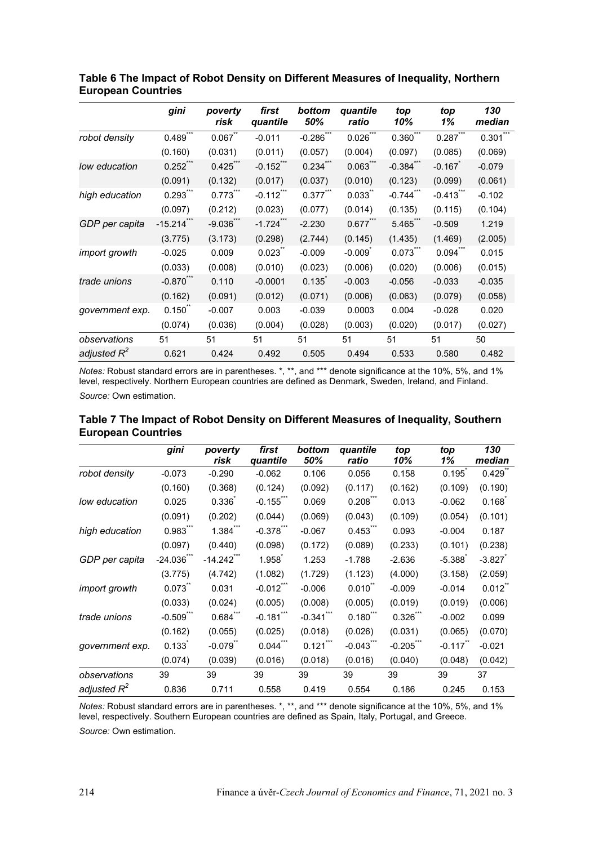|                 | gini                    | poverty<br>risk        | first<br>quantile       | bottom<br>50%           | quantile<br>ratio | top<br>10%             | top<br>1%              | 130<br>median          |
|-----------------|-------------------------|------------------------|-------------------------|-------------------------|-------------------|------------------------|------------------------|------------------------|
| robot density   | 0.489                   | 0.067                  | $-0.011$                | $-0.286$ <sup>777</sup> | $0.026$ ***       | $0.360^{\degree}$      | $0.287$ <sup>***</sup> | $0.301$ <sup>***</sup> |
|                 | (0.160)                 | (0.031)                | (0.011)                 | (0.057)                 | (0.004)           | (0.097)                | (0.085)                | (0.069)                |
| low education   | $0.252$ ***             | $0.425***$             | $-0.152***$             | $0.234$ ***             | $0.063$ **        | $-0.384$ ***           | $-0.167$               | $-0.079$               |
|                 | (0.091)                 | (0.132)                | (0.017)                 | (0.037)                 | (0.010)           | (0.123)                | (0.099)                | (0.061)                |
| high education  | $0.293***$              | $0.773$ <sup>***</sup> | $-0.112$ <sup>***</sup> | 0.377'''                | 0.033             | $-0.744$ <sup>**</sup> | $-0.413$ <sup>**</sup> | $-0.102$               |
|                 | (0.097)                 | (0.212)                | (0.023)                 | (0.077)                 | (0.014)           | (0.135)                | (0.115)                | (0.104)                |
| GDP per capita  | $-15.214$ ***           | $-9.036$ <sup>22</sup> | $-1.724$ <sup>***</sup> | $-2.230$                | 0.677'''          | $5.465$ <sup>***</sup> | $-0.509$               | 1.219                  |
|                 | (3.775)                 | (3.173)                | (0.298)                 | (2.744)                 | (0.145)           | (1.435)                | (1.469)                | (2.005)                |
| import growth   | $-0.025$                | 0.009                  | 0.023                   | $-0.009$                | $-0.009$          | $0.073$ <sup>***</sup> | $0.094$ <sup>***</sup> | 0.015                  |
|                 | (0.033)                 | (0.008)                | (0.010)                 | (0.023)                 | (0.006)           | (0.020)                | (0.006)                | (0.015)                |
| trade unions    | $-0.870$ <sup>***</sup> | 0.110                  | $-0.0001$               | 0.135                   | $-0.003$          | $-0.056$               | $-0.033$               | $-0.035$               |
|                 | (0.162)                 | (0.091)                | (0.012)                 | (0.071)                 | (0.006)           | (0.063)                | (0.079)                | (0.058)                |
| government exp. | $0.150^{\degree}$       | $-0.007$               | 0.003                   | $-0.039$                | 0.0003            | 0.004                  | $-0.028$               | 0.020                  |
|                 | (0.074)                 | (0.036)                | (0.004)                 | (0.028)                 | (0.003)           | (0.020)                | (0.017)                | (0.027)                |
| observations    | 51                      | 51                     | 51                      | 51                      | 51                | 51                     | 51                     | 50                     |
| adjusted $R^2$  | 0.621                   | 0.424                  | 0.492                   | 0.505                   | 0.494             | 0.533                  | 0.580                  | 0.482                  |

**Table 6 The Impact of Robot Density on Different Measures of Inequality, Northern European Countries**

*Notes:* Robust standard errors are in parentheses. \*, \*\*, and \*\*\* denote significance at the 10%, 5%, and 1% level, respectively. Northern European countries are defined as Denmark, Sweden, Ireland, and Finland.

*Source:* Own estimation.

| Table 7 The Impact of Robot Density on Different Measures of Inequality, Southern |  |  |
|-----------------------------------------------------------------------------------|--|--|
| <b>European Countries</b>                                                         |  |  |

|                 | gini      | poverty<br>risk | first<br>quantile | bottom<br>50% | quantile<br>ratio      | top<br>10%   | top<br>1%             | 130<br>median |
|-----------------|-----------|-----------------|-------------------|---------------|------------------------|--------------|-----------------------|---------------|
| robot density   | $-0.073$  | $-0.290$        | $-0.062$          | 0.106         | 0.056                  | 0.158        | 0.195                 | 0.429         |
|                 | (0.160)   | (0.368)         | (0.124)           | (0.092)       | (0.117)                | (0.162)      | (0.109)               | (0.190)       |
| low education   | 0.025     | 0.336           | $-0.155$ ***      | 0.069         | 0.208                  | 0.013        | $-0.062$              | 0.168         |
|                 | (0.091)   | (0.202)         | (0.044)           | (0.069)       | (0.043)                | (0.109)      | (0.054)               | (0.101)       |
| high education  | 0.983'''  | $1.384$ ***     | $-0.378$ ***      | $-0.067$      | $0.453$ <sup>***</sup> | 0.093        | $-0.004$              | 0.187         |
|                 | (0.097)   | (0.440)         | (0.098)           | (0.172)       | (0.089)                | (0.233)      | (0.101)               | (0.238)       |
| GDP per capita  | $-24.036$ | $-14.242$ ***   | 1.958             | 1.253         | $-1.788$               | $-2.636$     | $-5.388$              | $-3.827$      |
|                 | (3.775)   | (4.742)         | (1.082)           | (1.729)       | (1.123)                | (4.000)      | (3.158)               | (2.059)       |
| import growth   | 0.073     | 0.031           | $-0.012$ ***      | $-0.006$      | 0.010                  | $-0.009$     | $-0.014$              | 0.012         |
|                 | (0.033)   | (0.024)         | (0.005)           | (0.008)       | (0.005)                | (0.019)      | (0.019)               | (0.006)       |
| trade unions    | $-0.509$  | 0.684           | $-0.181$          | $-0.341$      | $0.180$ $**$           | $0.326$ ***  | $-0.002$              | 0.099         |
|                 | (0.162)   | (0.055)         | (0.025)           | (0.018)       | (0.026)                | (0.031)      | (0.065)               | (0.070)       |
| government exp. | 0.133     | $-0.079$        | $0.044$ ***       | $0.121$ ***   | $-0.043$ ***           | $-0.205$ *** | $-0.117$ <sup>"</sup> | $-0.021$      |
|                 | (0.074)   | (0.039)         | (0.016)           | (0.018)       | (0.016)                | (0.040)      | (0.048)               | (0.042)       |
| observations    | 39        | 39              | 39                | 39            | 39                     | 39           | 39                    | 37            |
| adjusted $R^2$  | 0.836     | 0.711           | 0.558             | 0.419         | 0.554                  | 0.186        | 0.245                 | 0.153         |

*Notes:* Robust standard errors are in parentheses. \*, \*\*, and \*\*\* denote significance at the 10%, 5%, and 1%<br>level, respectively. Southern European countries are defined as Spain, Italy, Portugal, and Greece.

*Source:* Own estimation.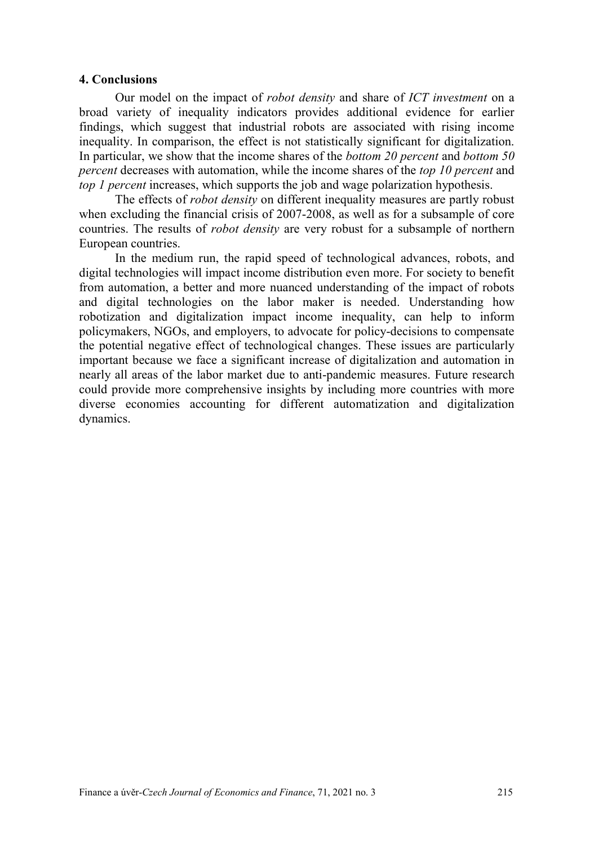#### **4. Conclusions**

Our model on the impact of *robot density* and share of *ICT investment* on a broad variety of inequality indicators provides additional evidence for earlier findings, which suggest that industrial robots are associated with rising income inequality. In comparison, the effect is not statistically significant for digitalization. In particular, we show that the income shares of the *bottom 20 percent* and *bottom 50 percent* decreases with automation, while the income shares of the *top 10 percent* and *top 1 percent* increases, which supports the job and wage polarization hypothesis.

The effects of *robot density* on different inequality measures are partly robust when excluding the financial crisis of 2007-2008, as well as for a subsample of core countries. The results of *robot density* are very robust for a subsample of northern European countries.

In the medium run, the rapid speed of technological advances, robots, and digital technologies will impact income distribution even more. For society to benefit from automation, a better and more nuanced understanding of the impact of robots and digital technologies on the labor maker is needed. Understanding how robotization and digitalization impact income inequality, can help to inform policymakers, NGOs, and employers, to advocate for policy-decisions to compensate the potential negative effect of technological changes. These issues are particularly important because we face a significant increase of digitalization and automation in nearly all areas of the labor market due to anti-pandemic measures. Future research could provide more comprehensive insights by including more countries with more diverse economies accounting for different automatization and digitalization dynamics.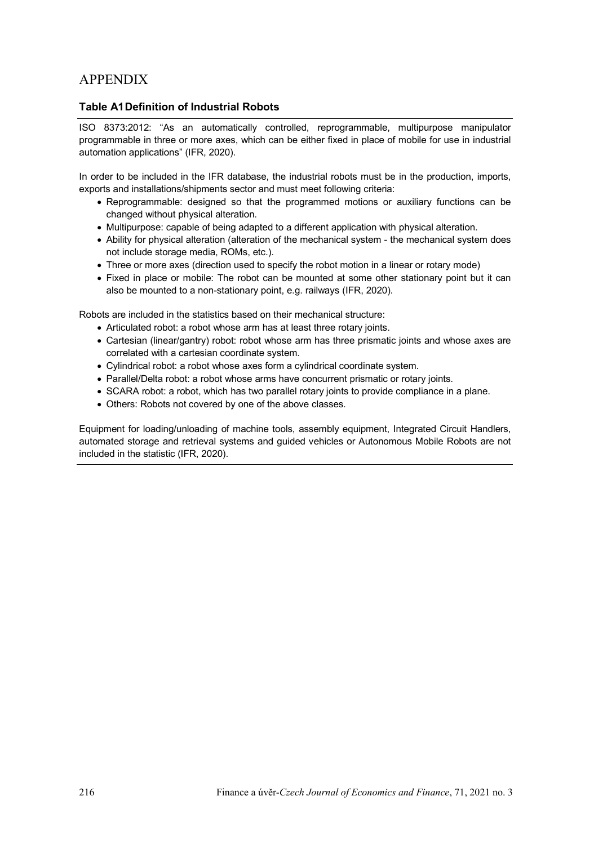# APPENDIX

#### **Table A1Definition of Industrial Robots**

ISO 8373:2012: "As an automatically controlled, reprogrammable, multipurpose manipulator programmable in three or more axes, which can be either fixed in place of mobile for use in industrial automation applications" (IFR, 2020).

In order to be included in the IFR database, the industrial robots must be in the production, imports, exports and installations/shipments sector and must meet following criteria:

- Reprogrammable: designed so that the programmed motions or auxiliary functions can be changed without physical alteration.
- Multipurpose: capable of being adapted to a different application with physical alteration.
- Ability for physical alteration (alteration of the mechanical system the mechanical system does not include storage media, ROMs, etc.).
- Three or more axes (direction used to specify the robot motion in a linear or rotary mode)
- Fixed in place or mobile: The robot can be mounted at some other stationary point but it can also be mounted to a non-stationary point, e.g. railways (IFR, 2020).

Robots are included in the statistics based on their mechanical structure:

- Articulated robot: a robot whose arm has at least three rotary joints.
- Cartesian (linear/gantry) robot: robot whose arm has three prismatic joints and whose axes are correlated with a cartesian coordinate system.
- Cylindrical robot: a robot whose axes form a cylindrical coordinate system.
- Parallel/Delta robot: a robot whose arms have concurrent prismatic or rotary joints.
- SCARA robot: a robot, which has two parallel rotary joints to provide compliance in a plane.
- Others: Robots not covered by one of the above classes.

Equipment for loading/unloading of machine tools, assembly equipment, Integrated Circuit Handlers, automated storage and retrieval systems and guided vehicles or Autonomous Mobile Robots are not included in the statistic (IFR, 2020).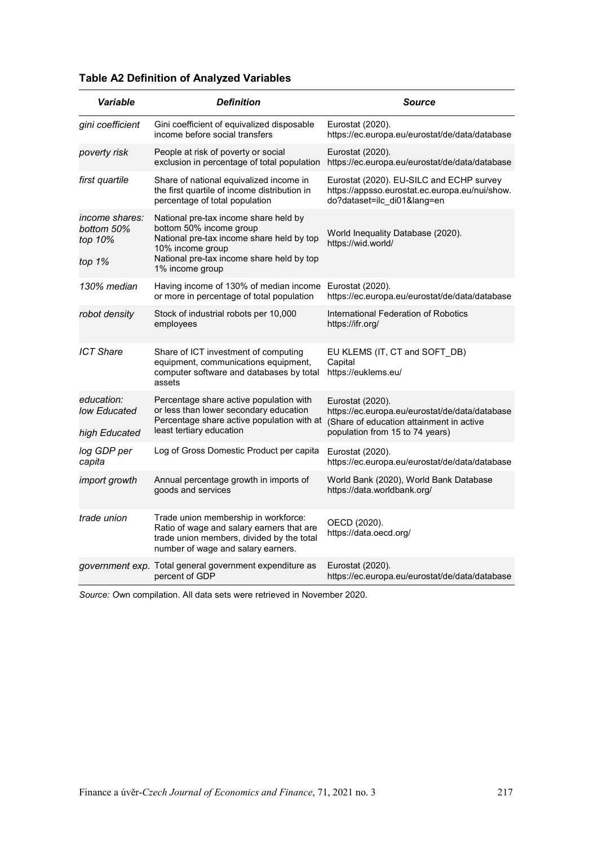| Variable                                          | <b>Definition</b>                                                                                                                                                                                 | <b>Source</b>                                                                                                                                     |
|---------------------------------------------------|---------------------------------------------------------------------------------------------------------------------------------------------------------------------------------------------------|---------------------------------------------------------------------------------------------------------------------------------------------------|
| gini coefficient                                  | Gini coefficient of equivalized disposable<br>income before social transfers                                                                                                                      | Eurostat (2020).<br>https://ec.europa.eu/eurostat/de/data/database                                                                                |
| poverty risk                                      | People at risk of poverty or social<br>exclusion in percentage of total population                                                                                                                | Eurostat (2020).<br>https://ec.europa.eu/eurostat/de/data/database                                                                                |
| first quartile                                    | Share of national equivalized income in<br>the first quartile of income distribution in<br>percentage of total population                                                                         | Eurostat (2020). EU-SILC and ECHP survey<br>https://appsso.eurostat.ec.europa.eu/nui/show.<br>do?dataset=ilc_di01⟨=en                             |
| income shares:<br>bottom 50%<br>top 10%<br>top 1% | National pre-tax income share held by<br>bottom 50% income group<br>National pre-tax income share held by top<br>10% income group<br>National pre-tax income share held by top<br>1% income group | World Inequality Database (2020).<br>https://wid.world/                                                                                           |
| 130% median                                       | Having income of 130% of median income<br>or more in percentage of total population                                                                                                               | Eurostat (2020).<br>https://ec.europa.eu/eurostat/de/data/database                                                                                |
| robot density                                     | Stock of industrial robots per 10,000<br>employees                                                                                                                                                | International Federation of Robotics<br>https://ifr.org/                                                                                          |
| <b>ICT Share</b>                                  | Share of ICT investment of computing<br>equipment, communications equipment,<br>computer software and databases by total<br>assets                                                                | EU KLEMS (IT, CT and SOFT DB)<br>Capital<br>https://euklems.eu/                                                                                   |
| education:<br>low Educated<br>high Educated       | Percentage share active population with<br>or less than lower secondary education<br>Percentage share active population with at<br>least tertiary education                                       | Eurostat (2020).<br>https://ec.europa.eu/eurostat/de/data/database<br>(Share of education attainment in active<br>population from 15 to 74 years) |
| log GDP per<br>capita                             | Log of Gross Domestic Product per capita                                                                                                                                                          | Eurostat (2020).<br>https://ec.europa.eu/eurostat/de/data/database                                                                                |
| import growth                                     | Annual percentage growth in imports of<br>goods and services                                                                                                                                      | World Bank (2020), World Bank Database<br>https://data.worldbank.org/                                                                             |
| trade union                                       | Trade union membership in workforce:<br>Ratio of wage and salary earners that are<br>trade union members, divided by the total<br>number of wage and salary earners.                              | OECD (2020).<br>https://data.oecd.org/                                                                                                            |
|                                                   | <i>government exp.</i> Total general government expenditure as<br>percent of GDP                                                                                                                  | Eurostat (2020).<br>https://ec.europa.eu/eurostat/de/data/database                                                                                |

# **Table A2 Definition of Analyzed Variables**

*Source: O*wn compilation. All data sets were retrieved in November 2020.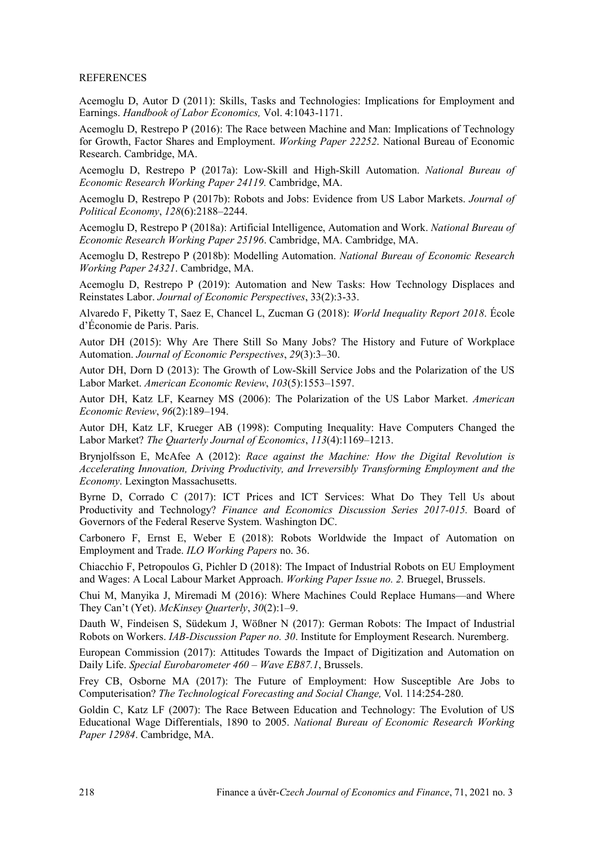#### **REFERENCES**

Acemoglu D, Autor D (2011): Skills, Tasks and Technologies: Implications for Employment and Earnings. *Handbook of Labor Economics,* Vol. 4:1043-1171.

Acemoglu D, Restrepo P (2016): The Race between Machine and Man: Implications of Technology for Growth, Factor Shares and Employment. *Working Paper 22252*. National Bureau of Economic Research. Cambridge, MA.

Acemoglu D, Restrepo P (2017a): Low-Skill and High-Skill Automation. *National Bureau of Economic Research Working Paper 24119.* Cambridge, MA.

Acemoglu D, Restrepo P (2017b): Robots and Jobs: Evidence from US Labor Markets. *Journal of Political Economy*, *128*(6):2188–2244.

Acemoglu D, Restrepo P (2018a): Artificial Intelligence, Automation and Work. *National Bureau of Economic Research Working Paper 25196*. Cambridge, MA. Cambridge, MA.

Acemoglu D, Restrepo P (2018b): Modelling Automation. *National Bureau of Economic Research Working Paper 24321*. Cambridge, MA.

Acemoglu D, Restrepo P (2019): Automation and New Tasks: How Technology Displaces and Reinstates Labor. *Journal of Economic Perspectives*, 33(2):3-33.

Alvaredo F, Piketty T, Saez E, Chancel L, Zucman G (2018): *World Inequality Report 2018*. École d'Économie de Paris. Paris.

Autor DH (2015): Why Are There Still So Many Jobs? The History and Future of Workplace Automation. *Journal of Economic Perspectives*, *29*(3):3–30.

Autor DH, Dorn D (2013): The Growth of Low-Skill Service Jobs and the Polarization of the US Labor Market. *American Economic Review*, *103*(5):1553–1597.

Autor DH, Katz LF, Kearney MS (2006): The Polarization of the US Labor Market. *American Economic Review*, *96*(2):189–194.

Autor DH, Katz LF, Krueger AB (1998): Computing Inequality: Have Computers Changed the Labor Market? *The Quarterly Journal of Economics*, *113*(4):1169–1213.

Brynjolfsson E, McAfee A (2012): *Race against the Machine: How the Digital Revolution is Accelerating Innovation, Driving Productivity, and Irreversibly Transforming Employment and the Economy*. Lexington Massachusetts.

Byrne D, Corrado C (2017): ICT Prices and ICT Services: What Do They Tell Us about Productivity and Technology? *Finance and Economics Discussion Series 2017-015.* Board of Governors of the Federal Reserve System. Washington DC.

Carbonero F, Ernst E, Weber E (2018): Robots Worldwide the Impact of Automation on Employment and Trade. *ILO Working Papers* no. 36.

Chiacchio F, Petropoulos G, Pichler D (2018): The Impact of Industrial Robots on EU Employment and Wages: A Local Labour Market Approach. *Working Paper Issue no. 2.* Bruegel, Brussels.

Chui M, Manyika J, Miremadi M (2016): Where Machines Could Replace Humans—and Where They Can't (Yet). *McKinsey Quarterly*, *30*(2):1–9.

Dauth W, Findeisen S, Südekum J, Wößner N (2017): German Robots: The Impact of Industrial Robots on Workers. *IAB-Discussion Paper no. 30*. Institute for Employment Research. Nuremberg.

European Commission (2017): Attitudes Towards the Impact of Digitization and Automation on Daily Life. *Special Eurobarometer 460 – Wave EB87.1*, Brussels.

Frey CB, Osborne MA (2017): The Future of Employment: How Susceptible Are Jobs to Computerisation? *The Technological Forecasting and Social Change,* Vol. 114:254-280.

Goldin C, Katz LF (2007): The Race Between Education and Technology: The Evolution of US Educational Wage Differentials, 1890 to 2005. *National Bureau of Economic Research Working Paper 12984*. Cambridge, MA.